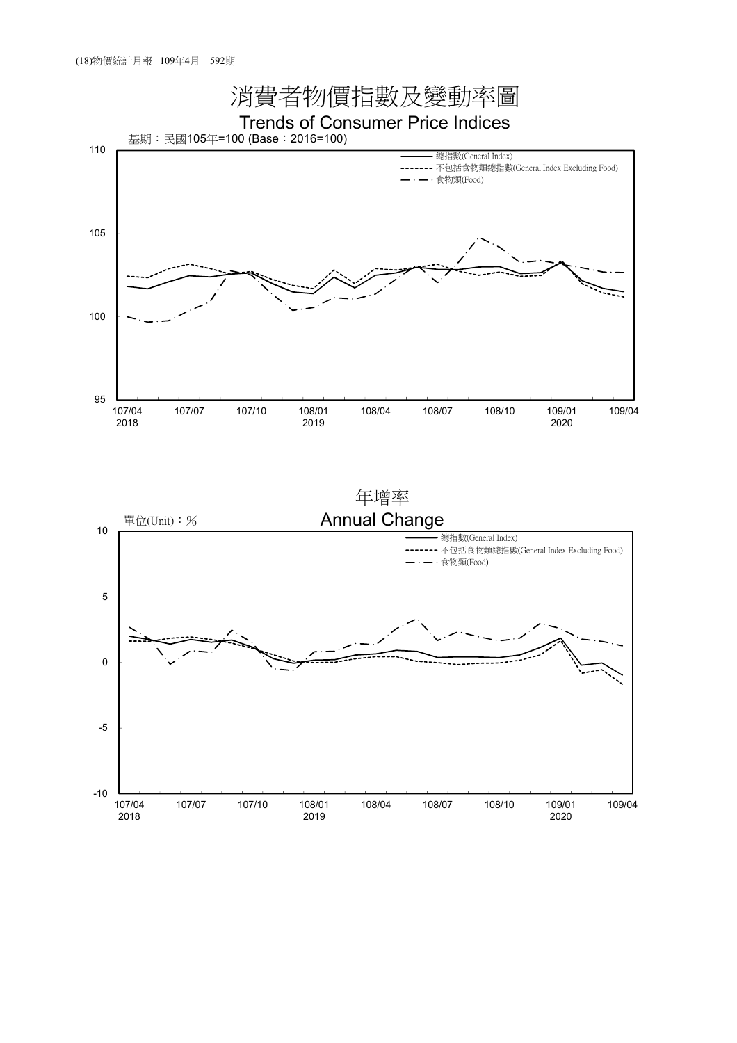

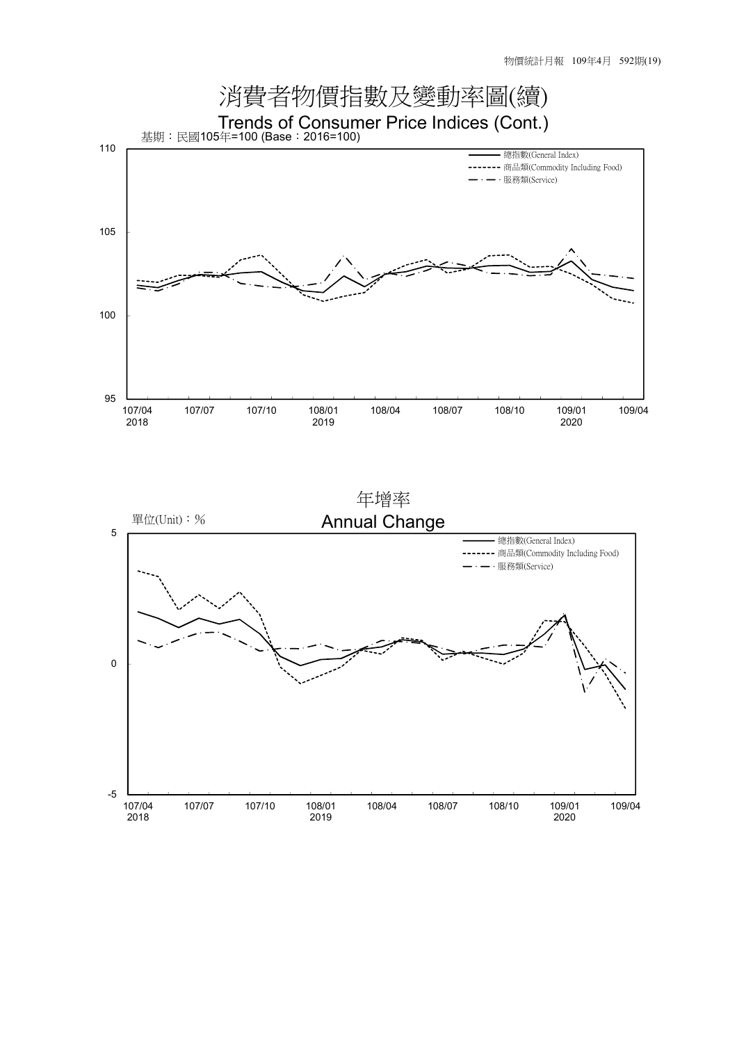